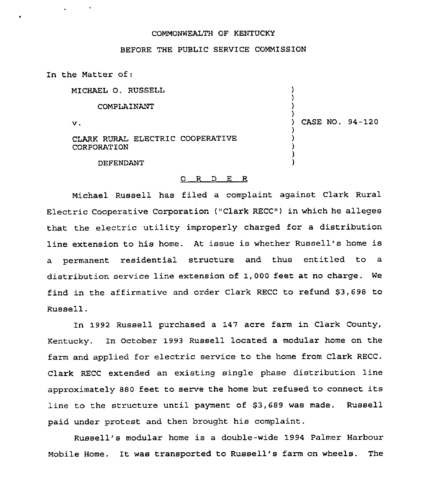## COMMONWEALTH OF KENTUCKY

## BEFORE THE PUBLIC SERVICE COMMISSION

In the Matter of:

| MICHAEL O. RUSSELL                              |                 |
|-------------------------------------------------|-----------------|
| COMPLAINANT                                     |                 |
| v.                                              | CASE NO. 94-120 |
| CLARK RURAL ELECTRIC COOPERATIVE<br>CORPORATION |                 |
| DEFENDANT                                       |                 |

## 0 R <sup>D</sup> E R

Michael Russell has filed a complaint against Clark Rural Electric Cooperative Corporation ("Clark RECC") in which he alleges that the electric utility improperly charged for a distribution line extension to his home. At issue is whether Russell's home is a permanent residential structure and thus entitled to a distribution service line extension of 1, 000 feet at no charge. We find in the affirmative and order Clark RECC to refund 83,698 to Russell.

In 1992 Russell purchased a 147 acre farm in Clark County, Kentucky. In October 1993 Russell located a modular home on the farm and applied for electric service to the home from Clark RECC. Clark RECC extended an existing single phase distribution line approximately <sup>880</sup> feet to serve the home but refused to connect its line to the structure until payment of 83,689 was made. Russell paid under protest and then brought his complaint.

Russell's modular home is a double-wide 1994 Palmer Harbour Mobile Home. It was transported to Russell's farm on wheels. The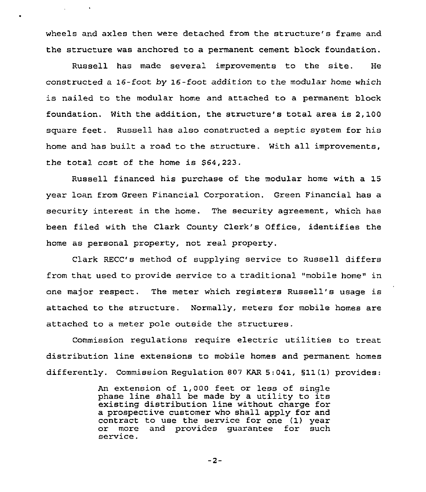wheels and axles then were detached from the structure's frame and the structure was anchored to a permanent cement block foundation.

Russell has made several improvements to the site. He constructed a 16-foot by 16-foot addition to the modular home which is nailed to the modular home and attached to a permanent block foundation. With the addition, the structure's total area is 2,100 square feet. Russell has also constructed a septic system for his home and has built a road to the structure. With all improvements, the total cost of the home is \$64,223.

Russell financed his purchase of the modular home with a 15 year loan from Green Financial Corporation. Green Financial has a security interest in the home. The security agreement, which has been filed with the Clark County Clerk's Office, identifies the home as personal property, not real property.

Clark RECC's method of supplying service to Russell differs from that used to provide service to a traditional "mobile home" in one major respect. The meter which registers Russell's usage is attached to the structure. Normally, meters for mobile homes are attached to a meter pole outside the structures.

Commission regulations require electric utilities to treat distribution line extensions to mobile homes and permanent homes differently. Commission Regulation 807 KAR 5:041, 511(1) provides:

> An extension of 1,000 feet or less of single phase line shall be made by a utility to its existing distribution line without charge for a prospective customer who shall apply for and contract to use the service for one (1) year or more and provides guarantee for such service .

> > $-2-$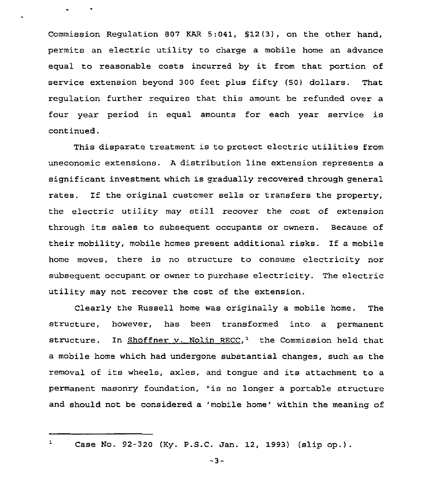Commission Regulation 807 KAR 5:041, 512 {3), on the other hand, permits an electric utility to charge a mobile home an advance equal to reasonable costs incurred by it from that portion of service extension beyond 300 feet plus fifty (50) dollars. That regulation further requires that this amount be refunded over a four year period in equal amounts for each year service is continued.

This disparate treatment is to protect electric utilities from uneconomic extensions. <sup>A</sup> distribution line extension represents a significant investment which is gradually recovered through general rates. If the original customer sells or transfers the property, the electric utility may still recover the cost of extension through its sales to subsequent occupants or owners. Because of their mobility, mobile homes present additional risks. If a mobile home moves, there is no structure to consume electricity nor subsequent occupant or owner to purchase electricity. The electric utility may not recover the cost of the extension.

Clearly the Russell home was originally a mobile home. The structure, however, has been transformed into a permanent structure. In Shoffner v. Nolin RECC,<sup>1</sup> the Commission held that a mobile home which had undergone substantial changes, such as the removal of its wheels, axles, and tongue and its attachment to <sup>a</sup> permanent masonry foundation, "is no longer <sup>a</sup> portable structure and should not be considered a 'mobile home' within the meaning of

 $\mathbf{1}$ 

Case No. 92-320 (Ky. P.S.C. Jan. 12, 1993) (slip op.)